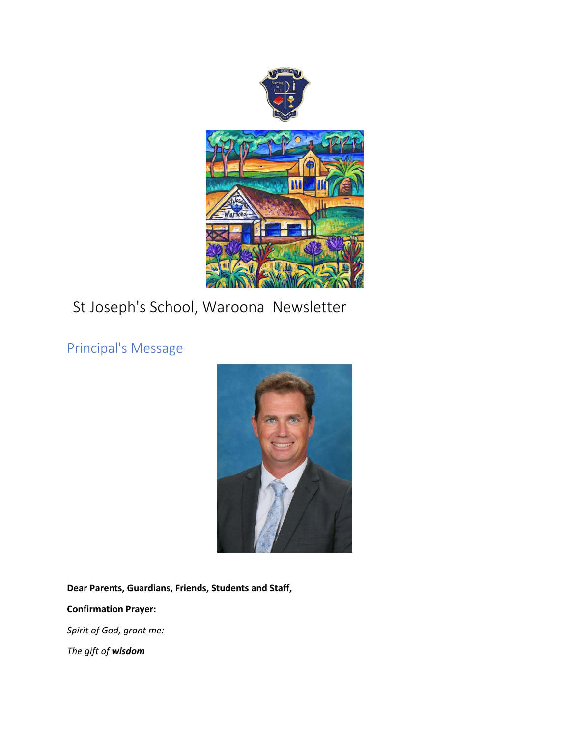

# St Joseph's School, Waroona Newsletter

Principal's Message



**Dear Parents, Guardians, Friends, Students and Staff,**

**Confirmation Prayer:**

*Spirit of God, grant me:*

*The gift of wisdom*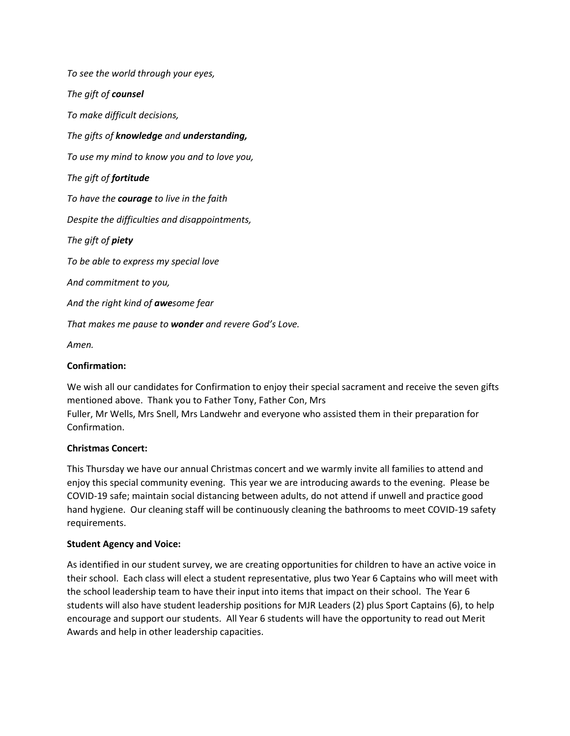*To see the world through your eyes, The gift of counsel To make difficult decisions, The gifts of knowledge and understanding, To use my mind to know you and to love you, The gift of fortitude To have the courage to live in the faith Despite the difficulties and disappointments, The gift of piety To be able to express my special love And commitment to you, And the right kind of awesome fear That makes me pause to wonder and revere God's Love.*

*Amen.*

#### **Confirmation:**

We wish all our candidates for Confirmation to enjoy their special sacrament and receive the seven gifts mentioned above. Thank you to Father Tony, Father Con, Mrs Fuller, Mr Wells, Mrs Snell, Mrs Landwehr and everyone who assisted them in their preparation for Confirmation.

#### **Christmas Concert:**

This Thursday we have our annual Christmas concert and we warmly invite all families to attend and enjoy this special community evening. This year we are introducing awards to the evening. Please be COVID-19 safe; maintain social distancing between adults, do not attend if unwell and practice good hand hygiene. Our cleaning staff will be continuously cleaning the bathrooms to meet COVID-19 safety requirements.

#### **Student Agency and Voice:**

As identified in our student survey, we are creating opportunities for children to have an active voice in their school. Each class will elect a student representative, plus two Year 6 Captains who will meet with the school leadership team to have their input into items that impact on their school. The Year 6 students will also have student leadership positions for MJR Leaders (2) plus Sport Captains (6), to help encourage and support our students. All Year 6 students will have the opportunity to read out Merit Awards and help in other leadership capacities.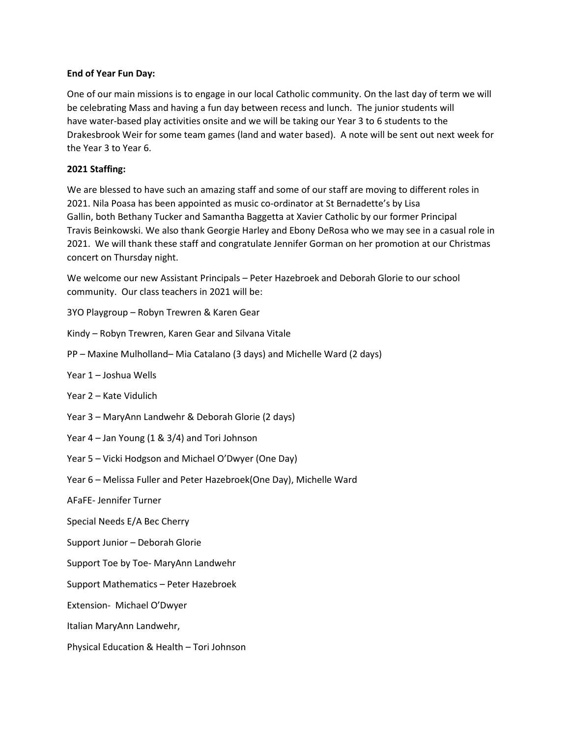#### **End of Year Fun Day:**

One of our main missions is to engage in our local Catholic community. On the last day of term we will be celebrating Mass and having a fun day between recess and lunch. The junior students will have water-based play activities onsite and we will be taking our Year 3 to 6 students to the Drakesbrook Weir for some team games (land and water based). A note will be sent out next week for the Year 3 to Year 6.

#### **2021 Staffing:**

We are blessed to have such an amazing staff and some of our staff are moving to different roles in 2021. Nila Poasa has been appointed as music co-ordinator at St Bernadette's by Lisa Gallin, both Bethany Tucker and Samantha Baggetta at Xavier Catholic by our former Principal Travis Beinkowski. We also thank Georgie Harley and Ebony DeRosa who we may see in a casual role in 2021. We will thank these staff and congratulate Jennifer Gorman on her promotion at our Christmas concert on Thursday night.

We welcome our new Assistant Principals – Peter Hazebroek and Deborah Glorie to our school community. Our class teachers in 2021 will be:

3YO Playgroup – Robyn Trewren & Karen Gear

Kindy – Robyn Trewren, Karen Gear and Silvana Vitale

PP – Maxine Mulholland– Mia Catalano (3 days) and Michelle Ward (2 days)

- Year 1 Joshua Wells
- Year 2 Kate Vidulich

Year 3 – MaryAnn Landwehr & Deborah Glorie (2 days)

- Year 4 Jan Young (1 & 3/4) and Tori Johnson
- Year 5 Vicki Hodgson and Michael O'Dwyer (One Day)

Year 6 – Melissa Fuller and Peter Hazebroek(One Day), Michelle Ward

AFaFE- Jennifer Turner

Special Needs E/A Bec Cherry

Support Junior – Deborah Glorie

Support Toe by Toe- MaryAnn Landwehr

Support Mathematics – Peter Hazebroek

Extension- Michael O'Dwyer

Italian MaryAnn Landwehr,

Physical Education & Health – Tori Johnson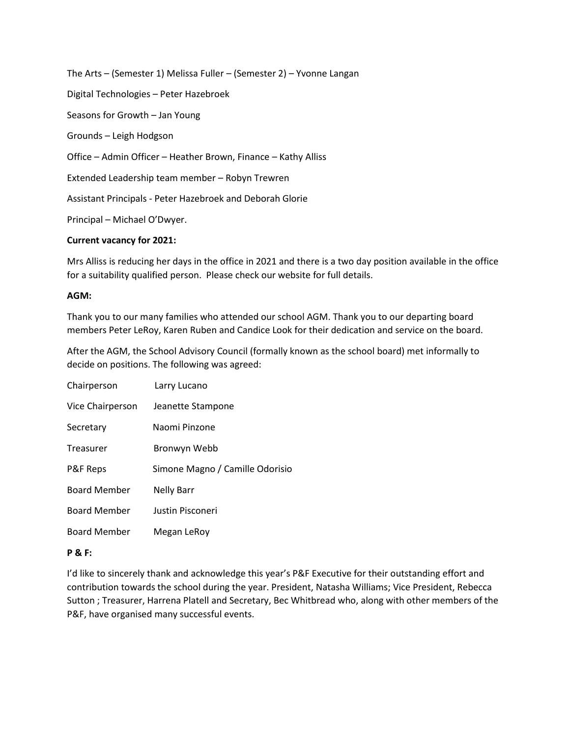The Arts – (Semester 1) Melissa Fuller – (Semester 2) – Yvonne Langan Digital Technologies – Peter Hazebroek Seasons for Growth – Jan Young Grounds – Leigh Hodgson Office – Admin Officer – Heather Brown, Finance – Kathy Alliss Extended Leadership team member – Robyn Trewren Assistant Principals - Peter Hazebroek and Deborah Glorie Principal – Michael O'Dwyer.

#### **Current vacancy for 2021:**

Mrs Alliss is reducing her days in the office in 2021 and there is a two day position available in the office for a suitability qualified person. Please check our website for full details.

#### **AGM:**

Thank you to our many families who attended our school AGM. Thank you to our departing board members Peter LeRoy, Karen Ruben and Candice Look for their dedication and service on the board.

After the AGM, the School Advisory Council (formally known as the school board) met informally to decide on positions. The following was agreed:

| Chairperson         | Larry Lucano                    |
|---------------------|---------------------------------|
| Vice Chairperson    | Jeanette Stampone               |
| Secretary           | Naomi Pinzone                   |
| Treasurer           | Bronwyn Webb                    |
| P&F Reps            | Simone Magno / Camille Odorisio |
| <b>Board Member</b> | <b>Nelly Barr</b>               |
| <b>Board Member</b> | Justin Pisconeri                |
| <b>Board Member</b> | Megan LeRoy                     |

#### **P & F:**

I'd like to sincerely thank and acknowledge this year's P&F Executive for their outstanding effort and contribution towards the school during the year. President, Natasha Williams; Vice President, Rebecca Sutton ; Treasurer, Harrena Platell and Secretary, Bec Whitbread who, along with other members of the P&F, have organised many successful events.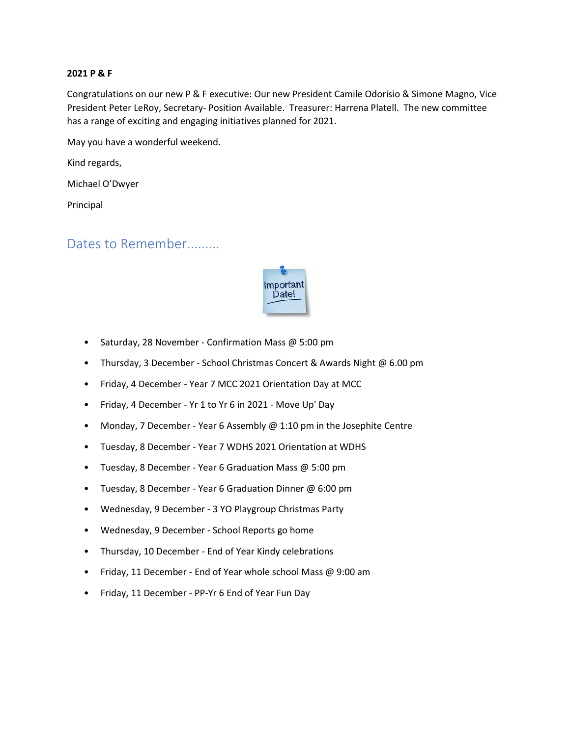#### **2021 P & F**

Congratulations on our new P & F executive: Our new President Camile Odorisio & Simone Magno, Vice President Peter LeRoy, Secretary- Position Available. Treasurer: Harrena Platell. The new committee has a range of exciting and engaging initiatives planned for 2021.

May you have a wonderful weekend.

Kind regards,

Michael O'Dwyer

Principal

### Dates to Remember.........



- Saturday, 28 November Confirmation Mass @ 5:00 pm
- Thursday, 3 December School Christmas Concert & Awards Night @ 6.00 pm
- Friday, 4 December Year 7 MCC 2021 Orientation Day at MCC
- Friday, 4 December Yr 1 to Yr 6 in 2021 Move Up' Day
- Monday, 7 December Year 6 Assembly @ 1:10 pm in the Josephite Centre
- Tuesday, 8 December Year 7 WDHS 2021 Orientation at WDHS
- Tuesday, 8 December Year 6 Graduation Mass @ 5:00 pm
- Tuesday, 8 December Year 6 Graduation Dinner @ 6:00 pm
- Wednesday, 9 December 3 YO Playgroup Christmas Party
- Wednesday, 9 December School Reports go home
- Thursday, 10 December End of Year Kindy celebrations
- Friday, 11 December End of Year whole school Mass @ 9:00 am
- Friday, 11 December PP-Yr 6 End of Year Fun Day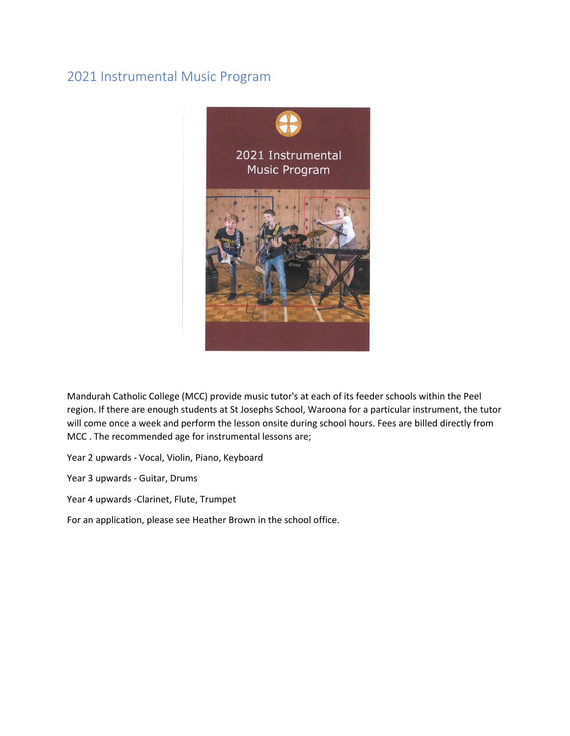### 2021 Instrumental Music Program



Mandurah Catholic College (MCC) provide music tutor's at each of its feeder schools within the Peel region. If there are enough students at St Josephs School, Waroona for a particular instrument, the tutor will come once a week and perform the lesson onsite during school hours. Fees are billed directly from MCC . The recommended age for instrumental lessons are;

Year 2 upwards - Vocal, Violin, Piano, Keyboard

Year 3 upwards - Guitar, Drums

Year 4 upwards -Clarinet, Flute, Trumpet

For an application, please see Heather Brown in the school office.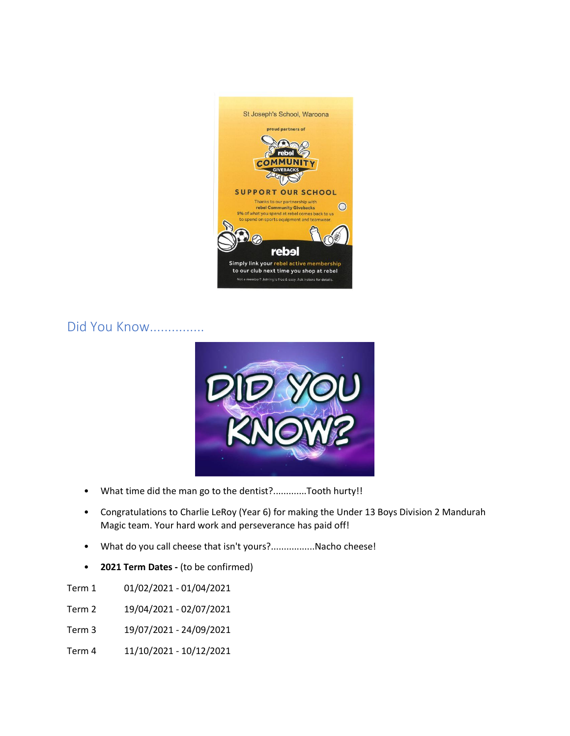

### Did You Know...............



- What time did the man go to the dentist?.............Tooth hurty!!
- Congratulations to Charlie LeRoy (Year 6) for making the Under 13 Boys Division 2 Mandurah Magic team. Your hard work and perseverance has paid off!
- What do you call cheese that isn't yours?.................Nacho cheese!
- **2021 Term Dates -** (to be confirmed)

Term 1 01/02/2021 - 01/04/2021

- Term 2 19/04/2021 02/07/2021
- Term 3 19/07/2021 24/09/2021
- Term 4 11/10/2021 10/12/2021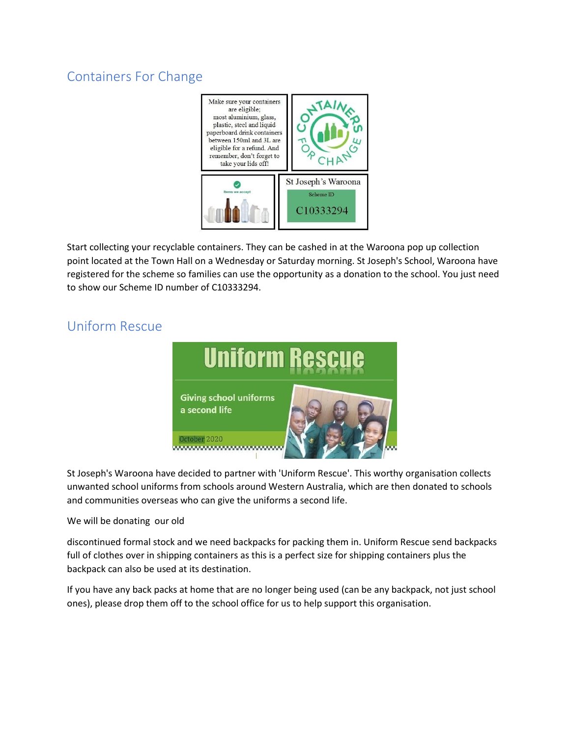# Containers For Change



Start collecting your recyclable containers. They can be cashed in at the Waroona pop up collection point located at the Town Hall on a Wednesday or Saturday morning. St Joseph's School, Waroona have registered for the scheme so families can use the opportunity as a donation to the school. You just need to show our Scheme ID number of C10333294.

## Uniform Rescue



St Joseph's Waroona have decided to partner with 'Uniform Rescue'. This worthy organisation collects unwanted school uniforms from schools around Western Australia, which are then donated to schools and communities overseas who can give the uniforms a second life.

We will be donating our old

discontinued formal stock and we need backpacks for packing them in. Uniform Rescue send backpacks full of clothes over in shipping containers as this is a perfect size for shipping containers plus the backpack can also be used at its destination.

If you have any back packs at home that are no longer being used (can be any backpack, not just school ones), please drop them off to the school office for us to help support this organisation.